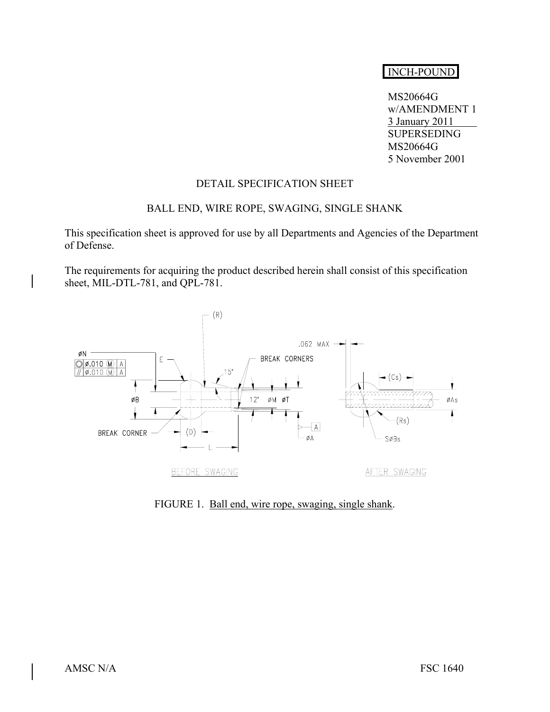# INCH-POUND

 MS20664G w/AMENDMENT 1 3 January 2011 SUPERSEDING MS20664G 5 November 2001

## DETAIL SPECIFICATION SHEET

#### BALL END, WIRE ROPE, SWAGING, SINGLE SHANK

This specification sheet is approved for use by all Departments and Agencies of the Department of Defense.

The requirements for acquiring the product described herein shall consist of this specification sheet, MIL-DTL-781, and QPL-781.



FIGURE 1. Ball end, wire rope, swaging, single shank.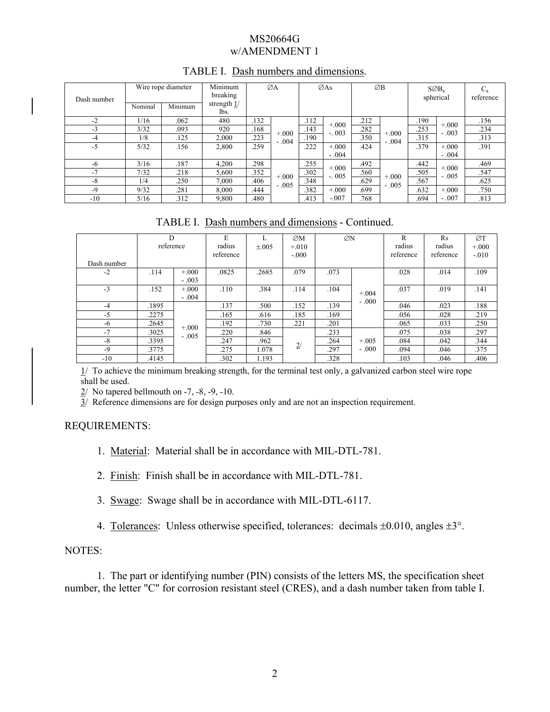#### MS20664G w/AMENDMENT 1

| Dash number |         | Wire rope diameter | Minimum<br>breaking   | ØA   |          | $\emptyset$ As |         | ØΒ   |          | $S\varnothing B_s$<br>spherical |         | $C_{\rm s}$<br>reference |
|-------------|---------|--------------------|-----------------------|------|----------|----------------|---------|------|----------|---------------------------------|---------|--------------------------|
|             | Nominal | Minimum            | strength $1/$<br>lbs. |      |          |                |         |      |          |                                 |         |                          |
| $-2$        | 1/16    | .062               | 480                   | .132 |          | .112           | $+000$  | .212 |          | .190                            | $+.000$ | .156                     |
| $-3$        | 3/32    | .093               | 920                   | .168 | $+0.000$ | .143           | $-.003$ | .282 | $+0.000$ | .253                            | $-.003$ | .234                     |
| -4          | 1/8     | .125               | 2,000                 | .223 | $-.004$  | .190           |         | .350 | $-.004$  | .315                            |         | .313                     |
| $-5$        | 5/32    | .156               | 2,800                 | .259 |          | .222           | $+.000$ | .424 |          | .379                            | $+.000$ | .391                     |
|             |         |                    |                       |      |          |                | $-.004$ |      |          |                                 | $-.004$ |                          |
| -6          | 3/16    | .187               | 4,200                 | .298 |          | .255           | $+000$  | .492 |          | .442                            | $+.000$ | .469                     |
| $-7$        | 7/32    | .218               | 5,600                 | .352 | $+0.000$ | .302           | $-.005$ | .560 | $+0.000$ | .505                            | $-.005$ | .547                     |
| $-8$        | 1/4     | .250               | 7,000                 | .406 | $-.005$  | .348           |         | .629 | $-.005$  | .567                            |         | .625                     |
| $-9$        | 9/32    | .281               | 8,000                 | .444 |          | .382           | $+.000$ | .699 |          | .632                            | $+.000$ | .750                     |
| $-10$       | 5/16    | .312               | 9,800                 | .480 |          | .413           | $-.007$ | .768 |          | .694                            | $-.007$ | .813                     |

## TABLE I. Dash numbers and dimensions.

TABLE I. Dash numbers and dimensions - Continued.

| Dash number | D<br>reference |         | E<br>radius<br>reference | $\pm .005$ | ØM<br>$+.010$<br>$-.000$ | ØN   |         | R<br>radius<br>reference | Rs<br>radius<br>reference | ØΤ<br>$+000$<br>$-.010$ |
|-------------|----------------|---------|--------------------------|------------|--------------------------|------|---------|--------------------------|---------------------------|-------------------------|
| $-2$        | .114           | $+000$  | .0825                    | .2685      | .079                     | .073 |         | .028                     | .014                      | .109                    |
|             |                | $-.003$ |                          |            |                          |      |         |                          |                           |                         |
| $-3$        | .152           | $+000$  | .110                     | .384       | .114                     | .104 | $+.004$ | .037                     | .019                      | .141                    |
|             |                | $-.004$ |                          |            |                          |      | $-.000$ |                          |                           |                         |
| $-4$        | .1895          |         | .137                     | .500       | .152                     | .139 |         | .046                     | .023                      | .188                    |
| $-5$        | .2275          |         | .165                     | .616       | .185                     | .169 |         | .056                     | .028                      | .219                    |
| -6          | .2645          | $+000$  | .192                     | .730       | .221                     | .201 |         | .065                     | .033                      | .250                    |
| $-7$        | .3025          | $-.005$ | .220                     | .846       |                          | .233 | $+.005$ | .075                     | .038                      | .297                    |
| $-8$        | .3395          |         | .247                     | .962       | 2/                       | .264 |         | .084                     | .042                      | .344                    |
| $-9$        | .3775          |         | .275                     | 1.078      |                          | .297 | $-.000$ | .094                     | .046                      | .375                    |
| $-10$       | .4145          |         | .302                     | 1.193      |                          | .328 |         | .103                     | .046                      | .406                    |

 $1/$  To achieve the minimum breaking strength, for the terminal test only, a galvanized carbon steel wire rope shall be used.

 $2/$  No tapered bellmouth on -7, -8, -9, -10.

 $\frac{3}{2}$  Reference dimensions are for design purposes only and are not an inspection requirement.

# REQUIREMENTS:

1. Material: Material shall be in accordance with MIL-DTL-781.

2. Finish: Finish shall be in accordance with MIL-DTL-781.

3. Swage: Swage shall be in accordance with MIL-DTL-6117.

4. Tolerances: Unless otherwise specified, tolerances: decimals ±0.010, angles ±3°.

# NOTES:

 1. The part or identifying number (PIN) consists of the letters MS, the specification sheet number, the letter "C" for corrosion resistant steel (CRES), and a dash number taken from table I.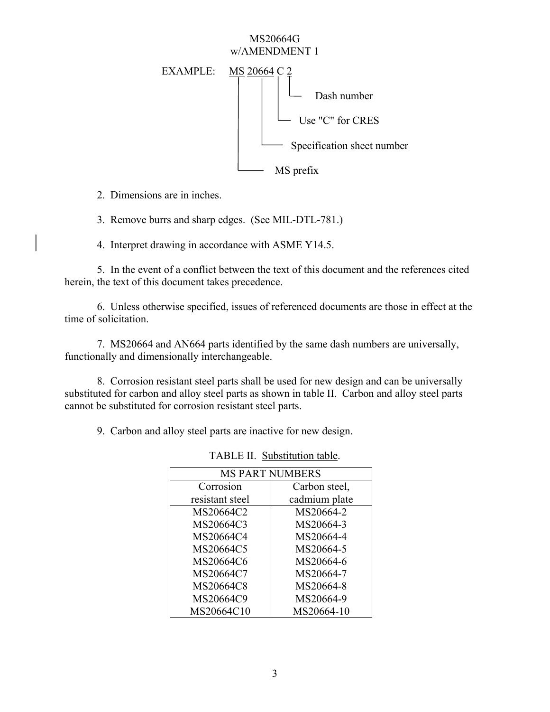#### MS20664G w/AMENDMENT 1



2. Dimensions are in inches.

3. Remove burrs and sharp edges. (See MIL-DTL-781.)

4. Interpret drawing in accordance with ASME Y14.5.

5. In the event of a conflict between the text of this document and the references cited herein, the text of this document takes precedence.

6. Unless otherwise specified, issues of referenced documents are those in effect at the time of solicitation.

 7. MS20664 and AN664 parts identified by the same dash numbers are universally, functionally and dimensionally interchangeable.

 8. Corrosion resistant steel parts shall be used for new design and can be universally substituted for carbon and alloy steel parts as shown in table II. Carbon and alloy steel parts cannot be substituted for corrosion resistant steel parts.

9. Carbon and alloy steel parts are inactive for new design.

| <b>MS PART NUMBERS</b> |               |  |  |  |  |
|------------------------|---------------|--|--|--|--|
| Corrosion              | Carbon steel, |  |  |  |  |
| resistant steel        | cadmium plate |  |  |  |  |
| MS20664C2              | MS20664-2     |  |  |  |  |
| MS20664C3              | MS20664-3     |  |  |  |  |
| MS20664C4              | MS20664-4     |  |  |  |  |
| MS20664C5              | MS20664-5     |  |  |  |  |
| MS20664C6              | MS20664-6     |  |  |  |  |
| MS20664C7              | MS20664-7     |  |  |  |  |
| MS20664C8              | MS20664-8     |  |  |  |  |
| MS20664C9              | MS20664-9     |  |  |  |  |
| MS20664C10             | MS20664-10    |  |  |  |  |

TABLE II. Substitution table.